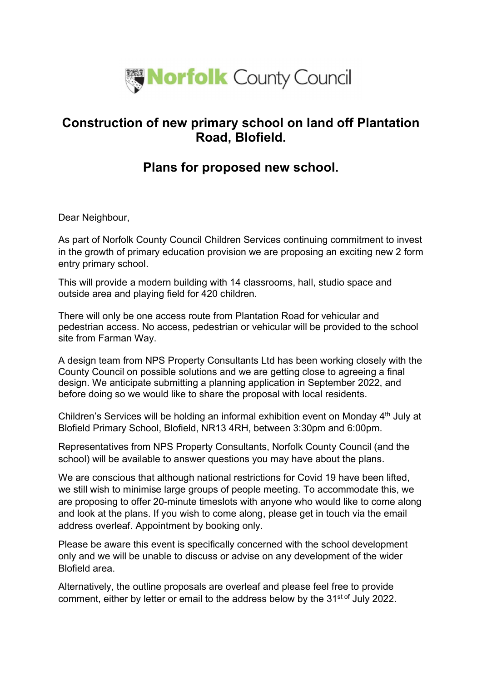

## Construction of new primary school on land off Plantation Road, Blofield.

## Plans for proposed new school.

Dear Neighbour,

As part of Norfolk County Council Children Services continuing commitment to invest in the growth of primary education provision we are proposing an exciting new 2 form entry primary school.

This will provide a modern building with 14 classrooms, hall, studio space and outside area and playing field for 420 children.

There will only be one access route from Plantation Road for vehicular and pedestrian access. No access, pedestrian or vehicular will be provided to the school site from Farman Way.

A design team from NPS Property Consultants Ltd has been working closely with the County Council on possible solutions and we are getting close to agreeing a final design. We anticipate submitting a planning application in September 2022, and before doing so we would like to share the proposal with local residents.

Children's Services will be holding an informal exhibition event on Monday 4<sup>th</sup> July at Blofield Primary School, Blofield, NR13 4RH, between 3:30pm and 6:00pm.

Representatives from NPS Property Consultants, Norfolk County Council (and the school) will be available to answer questions you may have about the plans.

We are conscious that although national restrictions for Covid 19 have been lifted, we still wish to minimise large groups of people meeting. To accommodate this, we are proposing to offer 20-minute timeslots with anyone who would like to come along and look at the plans. If you wish to come along, please get in touch via the email address overleaf. Appointment by booking only.

Please be aware this event is specifically concerned with the school development only and we will be unable to discuss or advise on any development of the wider Blofield area.

Alternatively, the outline proposals are overleaf and please feel free to provide comment, either by letter or email to the address below by the 31<sup>st of</sup> July 2022.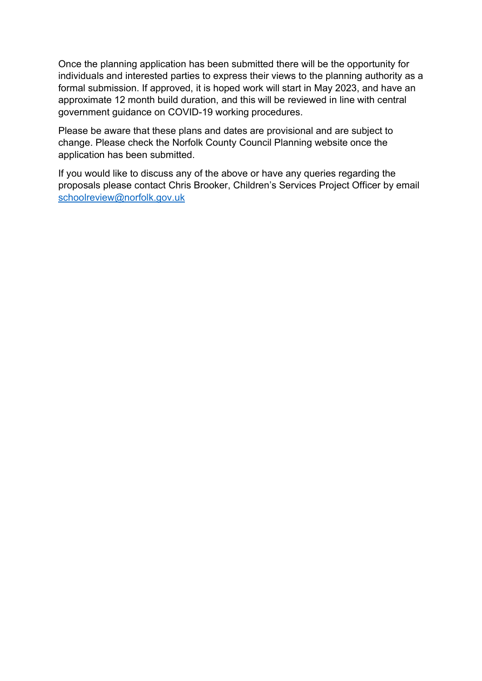Once the planning application has been submitted there will be the opportunity for individuals and interested parties to express their views to the planning authority as a formal submission. If approved, it is hoped work will start in May 2023, and have an approximate 12 month build duration, and this will be reviewed in line with central government guidance on COVID-19 working procedures.

Please be aware that these plans and dates are provisional and are subject to change. Please check the Norfolk County Council Planning website once the application has been submitted.

If you would like to discuss any of the above or have any queries regarding the proposals please contact Chris Brooker, Children's Services Project Officer by email schoolreview@norfolk.gov.uk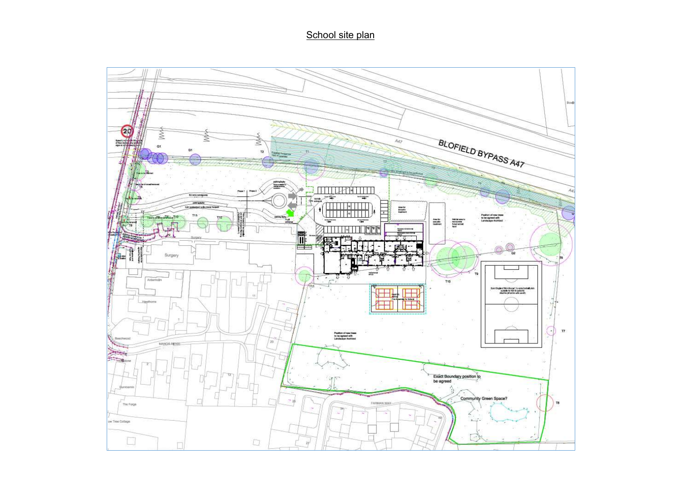## School site plan